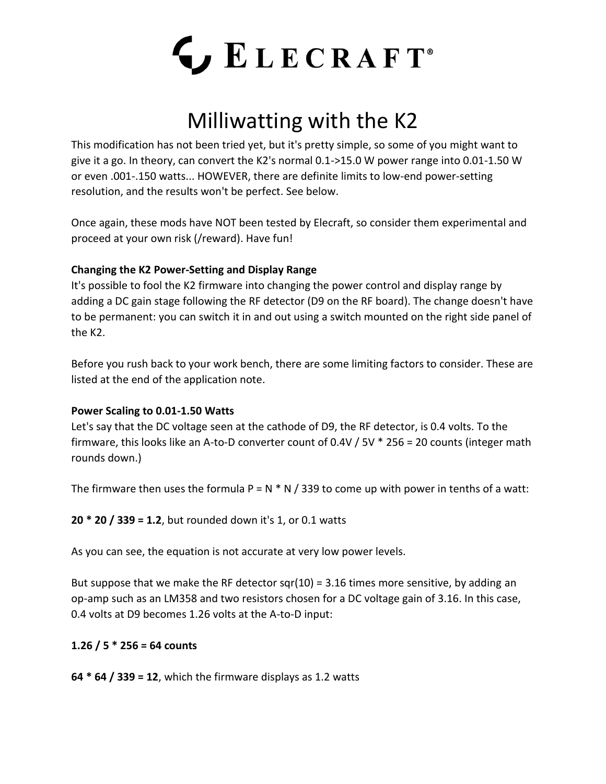

# Milliwatting with the K2

This modification has not been tried yet, but it's pretty simple, so some of you might want to give it a go. In theory, can convert the K2's normal 0.1->15.0 W power range into 0.01-1.50 W or even .001-.150 watts... HOWEVER, there are definite limits to low-end power-setting resolution, and the results won't be perfect. See below.

Once again, these mods have NOT been tested by Elecraft, so consider them experimental and proceed at your own risk (/reward). Have fun!

### **Changing the K2 Power-Setting and Display Range**

It's possible to fool the K2 firmware into changing the power control and display range by adding a DC gain stage following the RF detector (D9 on the RF board). The change doesn't have to be permanent: you can switch it in and out using a switch mounted on the right side panel of the K2.

Before you rush back to your work bench, there are some limiting factors to consider. These are listed at the end of the application note.

#### **Power Scaling to 0.01-1.50 Watts**

Let's say that the DC voltage seen at the cathode of D9, the RF detector, is 0.4 volts. To the firmware, this looks like an A-to-D converter count of 0.4V / 5V \* 256 = 20 counts (integer math rounds down.)

The firmware then uses the formula  $P = N * N / 339$  to come up with power in tenths of a watt:

**20 \* 20 / 339 = 1.2**, but rounded down it's 1, or 0.1 watts

As you can see, the equation is not accurate at very low power levels.

But suppose that we make the RF detector sqr(10) = 3.16 times more sensitive, by adding an op-amp such as an LM358 and two resistors chosen for a DC voltage gain of 3.16. In this case, 0.4 volts at D9 becomes 1.26 volts at the A-to-D input:

## **1.26 / 5 \* 256 = 64 counts**

**64 \* 64 / 339 = 12**, which the firmware displays as 1.2 watts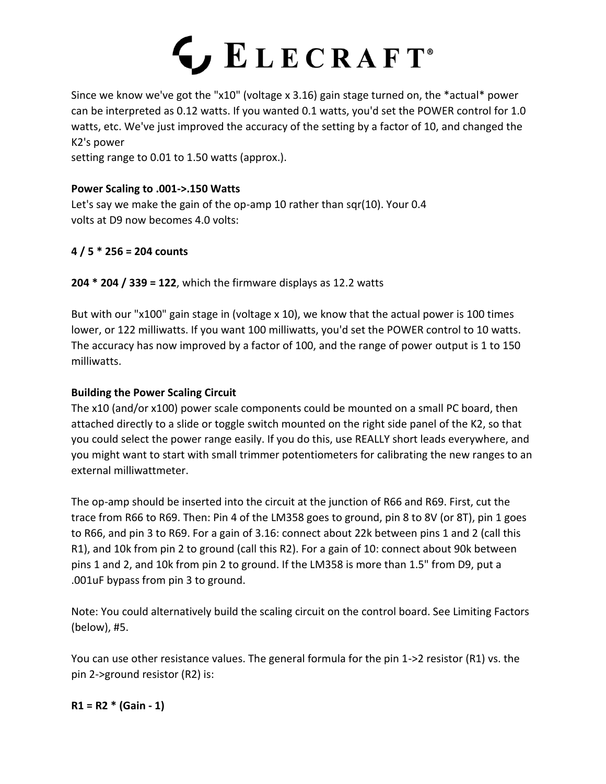

Since we know we've got the "x10" (voltage x 3.16) gain stage turned on, the \*actual\* power can be interpreted as 0.12 watts. If you wanted 0.1 watts, you'd set the POWER control for 1.0 watts, etc. We've just improved the accuracy of the setting by a factor of 10, and changed the K2's power

setting range to 0.01 to 1.50 watts (approx.).

#### **Power Scaling to .001->.150 Watts**

Let's say we make the gain of the op-amp 10 rather than sqr(10). Your 0.4 volts at D9 now becomes 4.0 volts:

#### **4 / 5 \* 256 = 204 counts**

**204 \* 204 / 339 = 122**, which the firmware displays as 12.2 watts

But with our "x100" gain stage in (voltage x 10), we know that the actual power is 100 times lower, or 122 milliwatts. If you want 100 milliwatts, you'd set the POWER control to 10 watts. The accuracy has now improved by a factor of 100, and the range of power output is 1 to 150 milliwatts.

#### **Building the Power Scaling Circuit**

The x10 (and/or x100) power scale components could be mounted on a small PC board, then attached directly to a slide or toggle switch mounted on the right side panel of the K2, so that you could select the power range easily. If you do this, use REALLY short leads everywhere, and you might want to start with small trimmer potentiometers for calibrating the new ranges to an external milliwattmeter.

The op-amp should be inserted into the circuit at the junction of R66 and R69. First, cut the trace from R66 to R69. Then: Pin 4 of the LM358 goes to ground, pin 8 to 8V (or 8T), pin 1 goes to R66, and pin 3 to R69. For a gain of 3.16: connect about 22k between pins 1 and 2 (call this R1), and 10k from pin 2 to ground (call this R2). For a gain of 10: connect about 90k between pins 1 and 2, and 10k from pin 2 to ground. If the LM358 is more than 1.5" from D9, put a .001uF bypass from pin 3 to ground.

Note: You could alternatively build the scaling circuit on the control board. See Limiting Factors (below), #5.

You can use other resistance values. The general formula for the pin 1->2 resistor (R1) vs. the pin 2->ground resistor (R2) is:

**R1 = R2 \* (Gain - 1)**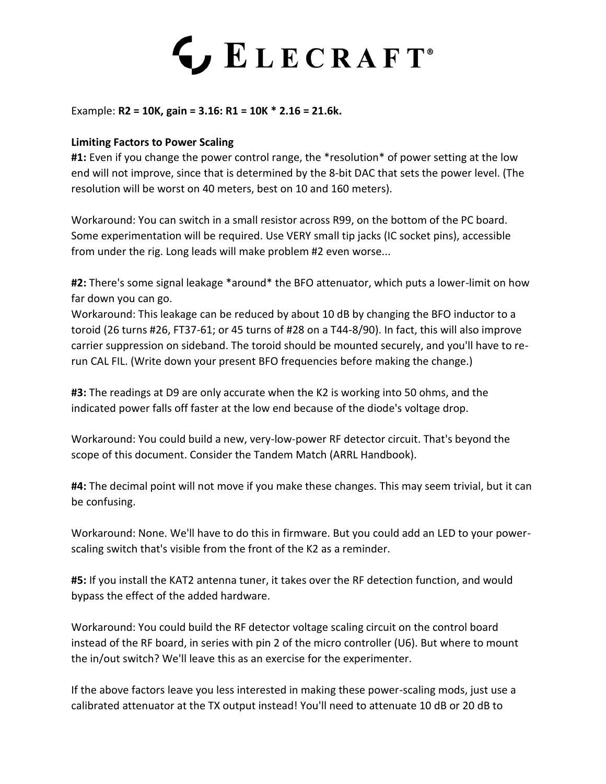# LECRAFT<sup>®</sup>

Example: **R2 = 10K, gain = 3.16: R1 = 10K \* 2.16 = 21.6k.**

#### **Limiting Factors to Power Scaling**

**#1:** Even if you change the power control range, the \*resolution\* of power setting at the low end will not improve, since that is determined by the 8-bit DAC that sets the power level. (The resolution will be worst on 40 meters, best on 10 and 160 meters).

Workaround: You can switch in a small resistor across R99, on the bottom of the PC board. Some experimentation will be required. Use VERY small tip jacks (IC socket pins), accessible from under the rig. Long leads will make problem #2 even worse...

**#2:** There's some signal leakage \*around\* the BFO attenuator, which puts a lower-limit on how far down you can go.

Workaround: This leakage can be reduced by about 10 dB by changing the BFO inductor to a toroid (26 turns #26, FT37-61; or 45 turns of #28 on a T44-8/90). In fact, this will also improve carrier suppression on sideband. The toroid should be mounted securely, and you'll have to rerun CAL FIL. (Write down your present BFO frequencies before making the change.)

**#3:** The readings at D9 are only accurate when the K2 is working into 50 ohms, and the indicated power falls off faster at the low end because of the diode's voltage drop.

Workaround: You could build a new, very-low-power RF detector circuit. That's beyond the scope of this document. Consider the Tandem Match (ARRL Handbook).

**#4:** The decimal point will not move if you make these changes. This may seem trivial, but it can be confusing.

Workaround: None. We'll have to do this in firmware. But you could add an LED to your powerscaling switch that's visible from the front of the K2 as a reminder.

**#5:** If you install the KAT2 antenna tuner, it takes over the RF detection function, and would bypass the effect of the added hardware.

Workaround: You could build the RF detector voltage scaling circuit on the control board instead of the RF board, in series with pin 2 of the micro controller (U6). But where to mount the in/out switch? We'll leave this as an exercise for the experimenter.

If the above factors leave you less interested in making these power-scaling mods, just use a calibrated attenuator at the TX output instead! You'll need to attenuate 10 dB or 20 dB to